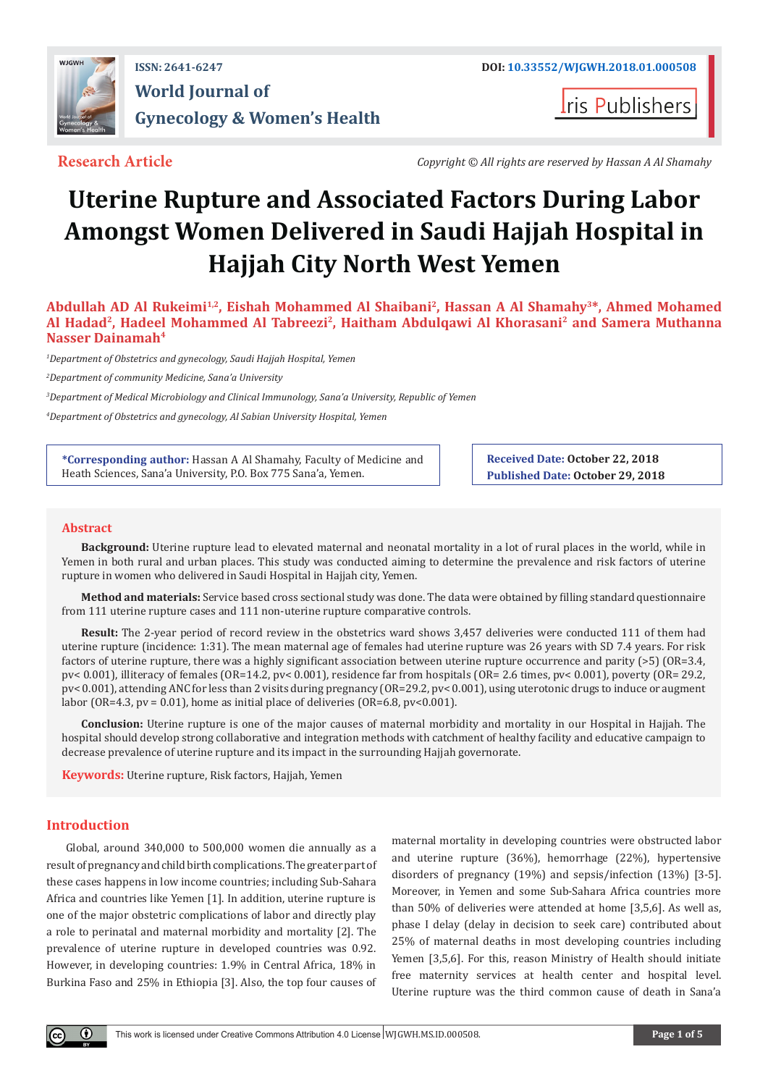

## **ISSN: 2641-6247 DOI: [10.33552/WJGWH.2018.01.000508](http://dx.doi.org/10.33552/WJGWH.2018.01.000508) World Journal of Gynecology & Women's Health**

**Iris Publishers** 

**Research Article** *Copyright © All rights are reserved by Hassan A Al Shamahy*

# **Uterine Rupture and Associated Factors During Labor Amongst Women Delivered in Saudi Hajjah Hospital in Hajjah City North West Yemen**

**Abdullah AD Al Rukeimi1,2, Eishah Mohammed Al Shaibani2, Hassan A Al Shamahy3\*, Ahmed Mohamed Al Hadad2, Hadeel Mohammed Al Tabreezi2, Haitham Abdulqawi Al Khorasani2 and Samera Muthanna Nasser Dainamah4**

*1 Department of Obstetrics and gynecology, Saudi Hajjah Hospital, Yemen*

*2 Department of community Medicine, Sana'a University*

*3 Department of Medical Microbiology and Clinical Immunology, Sana'a University, Republic of Yemen*

*4 Department of Obstetrics and gynecology, Al Sabian University Hospital, Yemen*

**\*Corresponding author:** Hassan A Al Shamahy, Faculty of Medicine and Heath Sciences, Sana'a University, P.O. Box 775 Sana'a, Yemen.

**Received Date: October 22, 2018 Published Date: October 29, 2018**

#### **Abstract**

**Background:** Uterine rupture lead to elevated maternal and neonatal mortality in a lot of rural places in the world, while in Yemen in both rural and urban places. This study was conducted aiming to determine the prevalence and risk factors of uterine rupture in women who delivered in Saudi Hospital in Hajjah city, Yemen.

**Method and materials:** Service based cross sectional study was done. The data were obtained by filling standard questionnaire from 111 uterine rupture cases and 111 non-uterine rupture comparative controls.

**Result:** The 2-year period of record review in the obstetrics ward shows 3,457 deliveries were conducted 111 of them had uterine rupture (incidence: 1:31). The mean maternal age of females had uterine rupture was 26 years with SD 7.4 years. For risk factors of uterine rupture, there was a highly significant association between uterine rupture occurrence and parity (>5) (OR=3.4, pv< 0.001), illiteracy of females (OR=14.2, pv< 0.001), residence far from hospitals (OR= 2.6 times, pv< 0.001), poverty (OR= 29.2, pv< 0.001), attending ANC for less than 2 visits during pregnancy (OR=29.2, pv< 0.001), using uterotonic drugs to induce or augment labor (OR=4.3, pv = 0.01), home as initial place of deliveries (OR=6.8, pv<0.001).

**Conclusion:** Uterine rupture is one of the major causes of maternal morbidity and mortality in our Hospital in Hajjah. The hospital should develop strong collaborative and integration methods with catchment of healthy facility and educative campaign to decrease prevalence of uterine rupture and its impact in the surrounding Hajjah governorate.

**Keywords:** Uterine rupture, Risk factors, Hajjah, Yemen

#### **Introduction**

Global, around 340,000 to 500,000 women die annually as a result of pregnancy and child birth complications. The greater part of these cases happens in low income countries; including Sub-Sahara Africa and countries like Yemen [1]. In addition, uterine rupture is one of the major obstetric complications of labor and directly play a role to perinatal and maternal morbidity and mortality [2]. The prevalence of uterine rupture in developed countries was 0.92. However, in developing countries: 1.9% in Central Africa, 18% in Burkina Faso and 25% in Ethiopia [3]. Also, the top four causes of maternal mortality in developing countries were obstructed labor and uterine rupture (36%), hemorrhage (22%), hypertensive disorders of pregnancy (19%) and sepsis/infection (13%) [3-5]. Moreover, in Yemen and some Sub-Sahara Africa countries more than 50% of deliveries were attended at home [3,5,6]. As well as, phase I delay (delay in decision to seek care) contributed about 25% of maternal deaths in most developing countries including Yemen [3,5,6]. For this, reason Ministry of Health should initiate free maternity services at health center and hospital level. Uterine rupture was the third common cause of death in Sana'a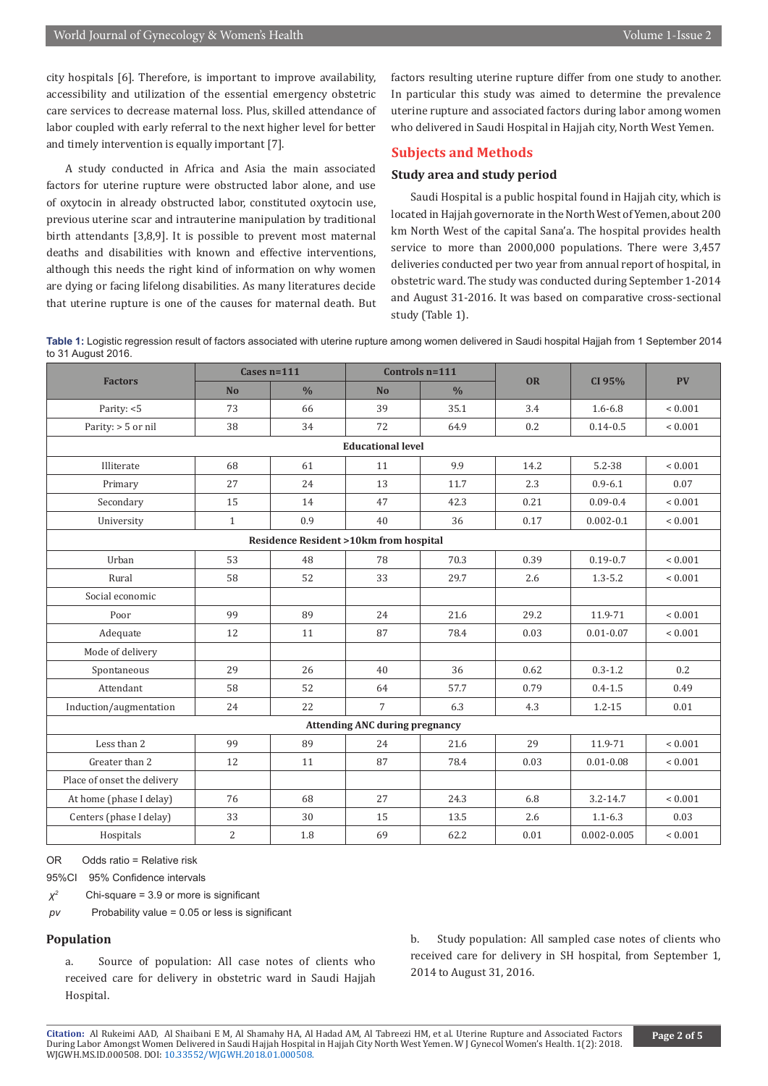city hospitals [6]. Therefore, is important to improve availability, accessibility and utilization of the essential emergency obstetric care services to decrease maternal loss. Plus, skilled attendance of labor coupled with early referral to the next higher level for better and timely intervention is equally important [7].

A study conducted in Africa and Asia the main associated factors for uterine rupture were obstructed labor alone, and use of oxytocin in already obstructed labor, constituted oxytocin use, previous uterine scar and intrauterine manipulation by traditional birth attendants [3,8,9]. It is possible to prevent most maternal deaths and disabilities with known and effective interventions, although this needs the right kind of information on why women are dying or facing lifelong disabilities. As many literatures decide that uterine rupture is one of the causes for maternal death. But factors resulting uterine rupture differ from one study to another. In particular this study was aimed to determine the prevalence uterine rupture and associated factors during labor among women who delivered in Saudi Hospital in Hajjah city, North West Yemen.

#### **Subjects and Methods**

#### **Study area and study period**

Saudi Hospital is a public hospital found in Hajjah city, which is located in Hajjah governorate in the North West of Yemen, about 200 km North West of the capital Sana'a. The hospital provides health service to more than 2000,000 populations. There were 3,457 deliveries conducted per two year from annual report of hospital, in obstetric ward. The study was conducted during September 1-2014 and August 31-2016. It was based on comparative cross-sectional study (Table 1).

**Table 1:** Logistic regression result of factors associated with uterine rupture among women delivered in Saudi hospital Hajjah from 1 September 2014 to 31 August 2016.

| <b>Factors</b>                                   | Cases $n=111$  |               | Controls $n=111$ |               |           |                 |             |  |  |
|--------------------------------------------------|----------------|---------------|------------------|---------------|-----------|-----------------|-------------|--|--|
|                                                  | N <sub>o</sub> | $\frac{0}{0}$ | <b>No</b>        | $\frac{0}{0}$ | <b>OR</b> | CI 95%          | <b>PV</b>   |  |  |
| Parity: <5                                       | 73             | 66            | 39               | 35.1          | 3.4       | $1.6 - 6.8$     | < 0.001     |  |  |
| Parity: $> 5$ or nil                             | 38             | 34            | 72               | 64.9          | 0.2       | $0.14 - 0.5$    | ${}< 0.001$ |  |  |
| <b>Educational level</b>                         |                |               |                  |               |           |                 |             |  |  |
| Illiterate                                       | 68             | 61            | 11               | 9.9           | 14.2      | $5.2 - 38$      | ${}< 0.001$ |  |  |
| Primary                                          | 27             | 24            | 13               | 11.7          | 2.3       | $0.9 - 6.1$     | 0.07        |  |  |
| Secondary                                        | 15             | 14            | 47               | 42.3          | 0.21      | $0.09 - 0.4$    | ${}< 0.001$ |  |  |
| University                                       | $\mathbf{1}$   | 0.9           | 40               | 36            | 0.17      | $0.002 - 0.1$   | ${}< 0.001$ |  |  |
| <b>Residence Resident &gt;10km from hospital</b> |                |               |                  |               |           |                 |             |  |  |
| Urban                                            | 53             | 48            | 78               | 70.3          | 0.39      | $0.19 - 0.7$    | ${}< 0.001$ |  |  |
| Rural                                            | 58             | 52            | 33               | 29.7          | 2.6       | $1.3 - 5.2$     | ${}< 0.001$ |  |  |
| Social economic                                  |                |               |                  |               |           |                 |             |  |  |
| Poor                                             | 99             | 89            | 24               | 21.6          | 29.2      | 11.9-71         | ${}< 0.001$ |  |  |
| Adequate                                         | 12             | 11            | 87               | 78.4          | 0.03      | $0.01 - 0.07$   | ${}< 0.001$ |  |  |
| Mode of delivery                                 |                |               |                  |               |           |                 |             |  |  |
| Spontaneous                                      | 29             | 26            | 40               | 36            | 0.62      | $0.3 - 1.2$     | 0.2         |  |  |
| Attendant                                        | 58             | 52            | 64               | 57.7          | 0.79      | $0.4 - 1.5$     | 0.49        |  |  |
| Induction/augmentation                           | 24             | 22            | $\overline{7}$   | 6.3           | 4.3       | $1.2 - 15$      | 0.01        |  |  |
| <b>Attending ANC during pregnancy</b>            |                |               |                  |               |           |                 |             |  |  |
| Less than 2                                      | 99             | 89            | 24               | 21.6          | 29        | 11.9-71         | ${}< 0.001$ |  |  |
| Greater than 2                                   | 12             | 11            | 87               | 78.4          | 0.03      | $0.01 - 0.08$   | ${}< 0.001$ |  |  |
| Place of onset the delivery                      |                |               |                  |               |           |                 |             |  |  |
| At home (phase I delay)                          | 76             | 68            | 27               | 24.3          | 6.8       | $3.2 - 14.7$    | ${}< 0.001$ |  |  |
| Centers (phase I delay)                          | 33             | 30            | 15               | 13.5          | 2.6       | $1.1 - 6.3$     | 0.03        |  |  |
| Hospitals                                        | $\overline{2}$ | 1.8           | 69               | 62.2          | 0.01      | $0.002 - 0.005$ | ${}< 0.001$ |  |  |

OR Odds ratio = Relative risk

95%CI 95% Confidence intervals

*χ<sup>2</sup>*Chi-square = 3.9 or more is significant

*pv* Probability value = 0.05 or less is significant

#### **Population**

a. Source of population: All case notes of clients who received care for delivery in obstetric ward in Saudi Hajjah Hospital.

b. Study population: All sampled case notes of clients who received care for delivery in SH hospital, from September 1, 2014 to August 31, 2016.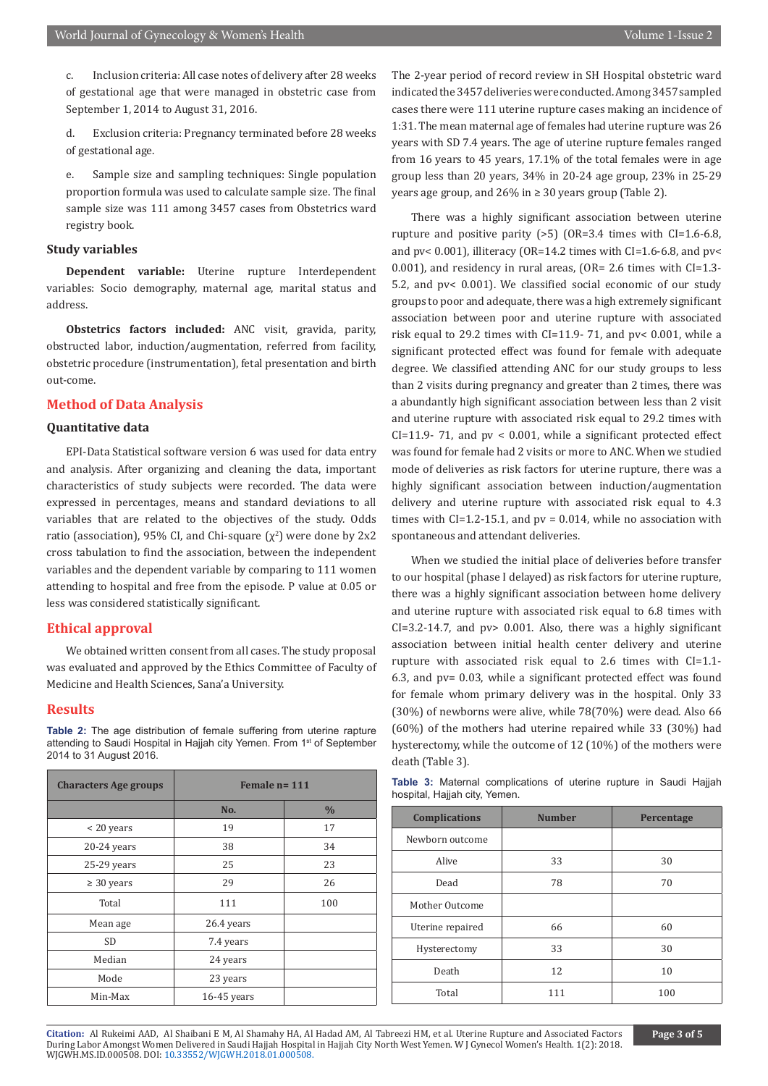c. Inclusion criteria: All case notes of delivery after 28 weeks of gestational age that were managed in obstetric case from September 1, 2014 to August 31, 2016.

d. Exclusion criteria: Pregnancy terminated before 28 weeks of gestational age.

e. Sample size and sampling techniques: Single population proportion formula was used to calculate sample size. The final sample size was 111 among 3457 cases from Obstetrics ward registry book.

#### **Study variables**

**Dependent variable:** Uterine rupture Interdependent variables: Socio demography, maternal age, marital status and address.

**Obstetrics factors included:** ANC visit, gravida, parity, obstructed labor, induction/augmentation, referred from facility, obstetric procedure (instrumentation), fetal presentation and birth out-come.

#### **Method of Data Analysis**

#### **Quantitative data**

EPI-Data Statistical software version 6 was used for data entry and analysis. After organizing and cleaning the data, important characteristics of study subjects were recorded. The data were expressed in percentages, means and standard deviations to all variables that are related to the objectives of the study. Odds ratio (association), 95% CI, and Chi-square  $(\chi^2)$  were done by 2x2 cross tabulation to find the association, between the independent variables and the dependent variable by comparing to 111 women attending to hospital and free from the episode. P value at 0.05 or less was considered statistically significant.

#### **Ethical approval**

We obtained written consent from all cases. The study proposal was evaluated and approved by the Ethics Committee of Faculty of Medicine and Health Sciences, Sana'a University.

#### **Results**

**Table 2:** The age distribution of female suffering from uterine rapture attending to Saudi Hospital in Hajjah city Yemen. From 1<sup>st</sup> of September 2014 to 31 August 2016.

| <b>Characters Age groups</b> | Female $n = 111$ |               |  |  |
|------------------------------|------------------|---------------|--|--|
|                              | No.              | $\frac{0}{0}$ |  |  |
| < 20 years                   | 19               | 17            |  |  |
| $20-24$ years                | 38               | 34            |  |  |
| $25-29$ years                | 25               | 23            |  |  |
| $\geq 30$ years              | 29               | 26            |  |  |
| Total                        | 111              | 100           |  |  |
| Mean age                     | 26.4 years       |               |  |  |
| <b>SD</b>                    | 7.4 years        |               |  |  |
| Median                       | 24 years         |               |  |  |
| Mode                         | 23 years         |               |  |  |
| Min-Max                      | $16-45$ years    |               |  |  |

The 2-year period of record review in SH Hospital obstetric ward indicated the 3457 deliveries were conducted. Among 3457 sampled cases there were 111 uterine rupture cases making an incidence of 1:31. The mean maternal age of females had uterine rupture was 26 years with SD 7.4 years. The age of uterine rupture females ranged from 16 years to 45 years, 17.1% of the total females were in age group less than 20 years, 34% in 20-24 age group, 23% in 25-29 years age group, and 26% in ≥ 30 years group (Table 2).

There was a highly significant association between uterine rupture and positive parity  $(>5)$  (OR=3.4 times with CI=1.6-6.8, and pv< 0.001), illiteracy (OR=14.2 times with CI=1.6-6.8, and pv< 0.001), and residency in rural areas, (OR= 2.6 times with CI=1.3- 5.2, and pv< 0.001). We classified social economic of our study groups to poor and adequate, there was a high extremely significant association between poor and uterine rupture with associated risk equal to 29.2 times with CI=11.9- 71, and pv< 0.001, while a significant protected effect was found for female with adequate degree. We classified attending ANC for our study groups to less than 2 visits during pregnancy and greater than 2 times, there was a abundantly high significant association between less than 2 visit and uterine rupture with associated risk equal to 29.2 times with  $CI=11.9-71$ , and pv < 0.001, while a significant protected effect was found for female had 2 visits or more to ANC. When we studied mode of deliveries as risk factors for uterine rupture, there was a highly significant association between induction/augmentation delivery and uterine rupture with associated risk equal to 4.3 times with  $CI=1.2-15.1$ , and  $pv = 0.014$ , while no association with spontaneous and attendant deliveries.

When we studied the initial place of deliveries before transfer to our hospital (phase I delayed) as risk factors for uterine rupture, there was a highly significant association between home delivery and uterine rupture with associated risk equal to 6.8 times with  $CI = 3.2 - 14.7$ , and  $pv > 0.001$ . Also, there was a highly significant association between initial health center delivery and uterine rupture with associated risk equal to 2.6 times with CI=1.1- 6.3, and pv= 0.03, while a significant protected effect was found for female whom primary delivery was in the hospital. Only 33 (30%) of newborns were alive, while 78(70%) were dead. Also 66 (60%) of the mothers had uterine repaired while 33 (30%) had hysterectomy, while the outcome of 12 (10%) of the mothers were death (Table 3).

**Table 3:** Maternal complications of uterine rupture in Saudi Hajjah hospital, Hajjah city, Yemen.

| <b>Complications</b> | <b>Number</b> | Percentage |  |
|----------------------|---------------|------------|--|
| Newborn outcome      |               |            |  |
| Alive                | 33            | 30         |  |
| Dead                 | 78            | 70         |  |
| Mother Outcome       |               |            |  |
| Uterine repaired     | 66            | 60         |  |
| Hysterectomy         | 33            | 30         |  |
| Death                | 12            | 10         |  |
| Total                | 111           | 100        |  |

**Citation:** Al Rukeimi AAD, Al Shaibani E M, Al Shamahy HA, Al Hadad AM, Al Tabreezi HM, et al. Uterine Rupture and Associated Factors During Labor Amongst Wom[en Delivered in Saudi Hajjah Hospita](http://dx.doi.org/10.33552/WJGWH.2018.01.000508)l in Hajjah City North West Yemen. W J Gynecol Women's Health. 1(2): 2018. WJGWH.MS.ID.000508. DOI: 10.33552/WJGWH.2018.01.000508.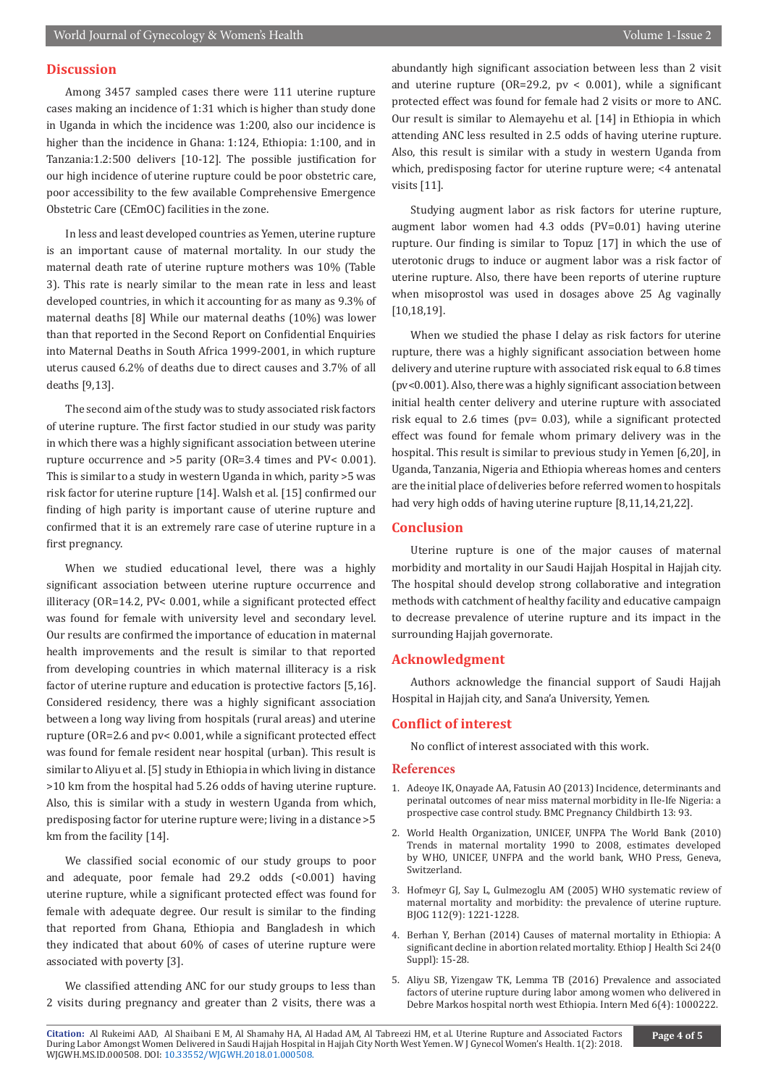### **Discussion**

Among 3457 sampled cases there were 111 uterine rupture cases making an incidence of 1:31 which is higher than study done in Uganda in which the incidence was 1:200, also our incidence is higher than the incidence in Ghana: 1:124, Ethiopia: 1:100, and in Tanzania:1.2:500 delivers [10-12]. The possible justification for our high incidence of uterine rupture could be poor obstetric care, poor accessibility to the few available Comprehensive Emergence Obstetric Care (CEmOC) facilities in the zone.

In less and least developed countries as Yemen, uterine rupture is an important cause of maternal mortality. In our study the maternal death rate of uterine rupture mothers was 10% (Table 3). This rate is nearly similar to the mean rate in less and least developed countries, in which it accounting for as many as 9.3% of maternal deaths [8] While our maternal deaths (10%) was lower than that reported in the Second Report on Confidential Enquiries into Maternal Deaths in South Africa 1999-2001, in which rupture uterus caused 6.2% of deaths due to direct causes and 3.7% of all deaths [9,13].

The second aim of the study was to study associated risk factors of uterine rupture. The first factor studied in our study was parity in which there was a highly significant association between uterine rupture occurrence and >5 parity (OR=3.4 times and PV< 0.001). This is similar to a study in western Uganda in which, parity >5 was risk factor for uterine rupture [14]. Walsh et al. [15] confirmed our finding of high parity is important cause of uterine rupture and confirmed that it is an extremely rare case of uterine rupture in a first pregnancy.

When we studied educational level, there was a highly significant association between uterine rupture occurrence and illiteracy (OR=14.2, PV< 0.001, while a significant protected effect was found for female with university level and secondary level. Our results are confirmed the importance of education in maternal health improvements and the result is similar to that reported from developing countries in which maternal illiteracy is a risk factor of uterine rupture and education is protective factors [5,16]. Considered residency, there was a highly significant association between a long way living from hospitals (rural areas) and uterine rupture (OR=2.6 and pv< 0.001, while a significant protected effect was found for female resident near hospital (urban). This result is similar to Aliyu et al. [5] study in Ethiopia in which living in distance >10 km from the hospital had 5.26 odds of having uterine rupture. Also, this is similar with a study in western Uganda from which, predisposing factor for uterine rupture were; living in a distance >5 km from the facility [14].

We classified social economic of our study groups to poor and adequate, poor female had 29.2 odds (<0.001) having uterine rupture, while a significant protected effect was found for female with adequate degree. Our result is similar to the finding that reported from Ghana, Ethiopia and Bangladesh in which they indicated that about 60% of cases of uterine rupture were associated with poverty [3].

We classified attending ANC for our study groups to less than 2 visits during pregnancy and greater than 2 visits, there was a

abundantly high significant association between less than 2 visit and uterine rupture (OR=29.2,  $pv < 0.001$ ), while a significant protected effect was found for female had 2 visits or more to ANC. Our result is similar to Alemayehu et al. [14] in Ethiopia in which attending ANC less resulted in 2.5 odds of having uterine rupture. Also, this result is similar with a study in western Uganda from which, predisposing factor for uterine rupture were; <4 antenatal visits [11].

Studying augment labor as risk factors for uterine rupture, augment labor women had 4.3 odds (PV=0.01) having uterine rupture. Our finding is similar to Topuz [17] in which the use of uterotonic drugs to induce or augment labor was a risk factor of uterine rupture. Also, there have been reports of uterine rupture when misoprostol was used in dosages above 25 Ag vaginally [10,18,19].

When we studied the phase I delay as risk factors for uterine rupture, there was a highly significant association between home delivery and uterine rupture with associated risk equal to 6.8 times (pv<0.001). Also, there was a highly significant association between initial health center delivery and uterine rupture with associated risk equal to 2.6 times (pv= 0.03), while a significant protected effect was found for female whom primary delivery was in the hospital. This result is similar to previous study in Yemen [6,20], in Uganda, Tanzania, Nigeria and Ethiopia whereas homes and centers are the initial place of deliveries before referred women to hospitals had very high odds of having uterine rupture [8,11,14,21,22].

#### **Conclusion**

Uterine rupture is one of the major causes of maternal morbidity and mortality in our Saudi Hajjah Hospital in Hajjah city. The hospital should develop strong collaborative and integration methods with catchment of healthy facility and educative campaign to decrease prevalence of uterine rupture and its impact in the surrounding Hajjah governorate.

#### **Acknowledgment**

Authors acknowledge the financial support of Saudi Hajjah Hospital in Hajjah city, and Sana'a University, Yemen.

#### **Conflict of interest**

No conflict of interest associated with this work.

#### **References**

- 1. [Adeoye IK, Onayade AA, Fatusin AO \(2013\) Incidence, determinants and](https://bmcpregnancychildbirth.biomedcentral.com/track/pdf/10.1186/1471-2393-13-93) [perinatal outcomes of near miss maternal morbidity in Ile-Ife Nigeria: a](https://bmcpregnancychildbirth.biomedcentral.com/track/pdf/10.1186/1471-2393-13-93) [prospective case control study. BMC Pregnancy Childbirth 13: 93.](https://bmcpregnancychildbirth.biomedcentral.com/track/pdf/10.1186/1471-2393-13-93)
- 2. [World Health Organization, UNICEF, UNFPA The World Bank \(2010\)](https://www.unfpa.org/publications/trends-maternal-mortality-1990-2008) [Trends in maternal mortality 1990 to 2008, estimates developed](https://www.unfpa.org/publications/trends-maternal-mortality-1990-2008) [by WHO, UNICEF, UNFPA and the world bank, WHO Press, Geneva,](https://www.unfpa.org/publications/trends-maternal-mortality-1990-2008) [Switzerland.](https://www.unfpa.org/publications/trends-maternal-mortality-1990-2008)
- 3. [Hofmeyr GJ, Say L, Gulmezoglu AM \(2005\) WHO systematic review of](https://www.ncbi.nlm.nih.gov/pubmed/16101600) [maternal mortality and morbidity: the prevalence of uterine rupture.](https://www.ncbi.nlm.nih.gov/pubmed/16101600) [BJOG 112\(9\): 1221-1228.](https://www.ncbi.nlm.nih.gov/pubmed/16101600)
- 4. [Berhan Y, Berhan \(2014\) Causes of maternal mortality in Ethiopia: A](https://www.ncbi.nlm.nih.gov/pmc/articles/PMC4249203/) [significant decline in abortion related mortality. Ethiop J Health Sci 24\(0](https://www.ncbi.nlm.nih.gov/pmc/articles/PMC4249203/) [Suppl\): 15-28.](https://www.ncbi.nlm.nih.gov/pmc/articles/PMC4249203/)
- 5. Aliyu SB, Yizengaw TK, Lemma TB (2016) Prevalence and associated factors of uterine rupture during labor among women who delivered in Debre Markos hospital north west Ethiopia. Intern Med 6(4): 1000222.